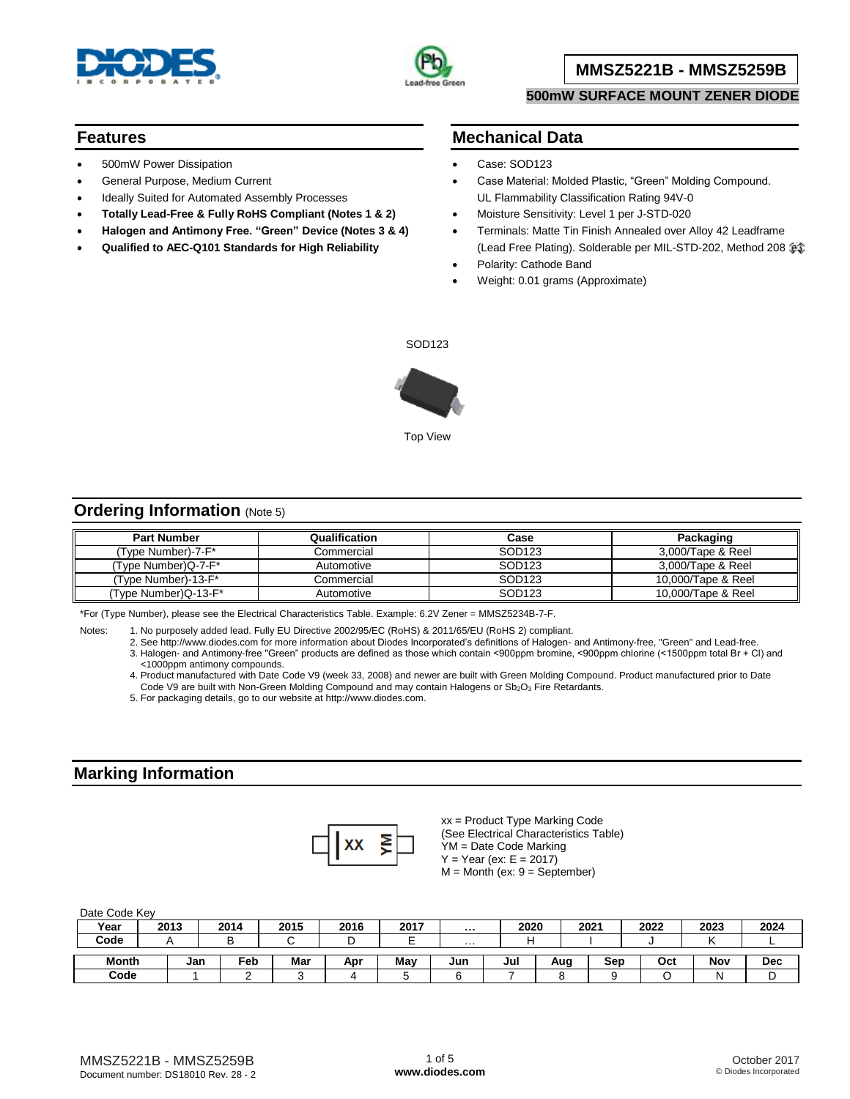



### **MMSZ5221B - MMSZ5259B**

#### **500mW SURFACE MOUNT ZENER DIODE**

#### **Features**

- 500mW Power Dissipation
- General Purpose, Medium Current
- Ideally Suited for Automated Assembly Processes
- **Totally Lead-Free & Fully RoHS Compliant (Notes 1 & 2)**
- **Halogen and Antimony Free. "Green" Device (Notes 3 & 4)**
- **Qualified to AEC-Q101 Standards for High Reliability**

#### **Mechanical Data**

- Case: SOD123
- Case Material: Molded Plastic, "Green" Molding Compound. UL Flammability Classification Rating 94V-0
- Moisture Sensitivity: Level 1 per J-STD-020
- Terminals: Matte Tin Finish Annealed over Alloy 42 Leadframe (Lead Free Plating). Solderable per MIL-STD-202, Method 208
- Polarity: Cathode Band
- Weight: 0.01 grams (Approximate)

SOD123



# **Ordering Information** (Note 5)

| <b>Part Number</b>   | Qualification | Case               | Packaging          |
|----------------------|---------------|--------------------|--------------------|
| (Type Number)-7-F*   | Commercial    | SOD <sub>123</sub> | 3.000/Tape & Reel  |
| (Type Number)Q-7-F*  | Automotive    | SOD123             | 3,000/Tape & Reel  |
| (Type Number)-13-F*  | Commercial    | SOD <sub>123</sub> | 10,000/Tape & Reel |
| (Type Number)Q-13-F* | Automotive    | SOD <sub>123</sub> | 10,000/Tape & Reel |

\*For (Type Number), please see the Electrical Characteristics Table. Example: 6.2V Zener = MMSZ5234B-7-F.

Notes: 1. No purposely added lead. Fully EU Directive 2002/95/EC (RoHS) & 2011/65/EU (RoHS 2) compliant.

2. See [http://www.diodes.com fo](http://www.diodes.com)r more information about Diodes Incorporated's definitions of Halogen- and Antimony-free, "Green" and Lead-free. 3. Halogen- and Antimony-free "Green" products are defined as those which contain <900ppm bromine, <900ppm chlorine (<1500ppm total Br + Cl) and <1000ppm antimony compounds.

4. Product manufactured with Date Code V9 (week 33, 2008) and newer are built with Green Molding Compound. Product manufactured prior to Date Code V9 are built with Non-Green Molding Compound and may contain Halogens or Sb<sub>2</sub>O<sub>3</sub> Fire Retardants.

5. For packaging details, go to our website at [http://www.diodes.com.](http://www.diodes.com)

### **Marking Information**



xx = Product Type Marking Code (See Electrical Characteristics Table) YM = Date Code Marking  $Y = Year (ex: E = 2017)$  $M =$  Month (ex:  $9 =$  September)

Date Code Key

| Year         | 2013 |     | 2014 | 2015 | 2016 | 2017 | $\cdots$ | 2020 |     | 2021 | 2022 | 2023 | 2024       |
|--------------|------|-----|------|------|------|------|----------|------|-----|------|------|------|------------|
| Code         |      |     |      |      | ╺    | -    | .        |      |     |      |      |      |            |
| <b>Month</b> |      | Jan | Feb  | Mar  | Apr  | Mav  | Jun      | Jul  | Aua | Sep  | Oct  | Nov  | <b>Dec</b> |
| Code         |      |     | ∽    |      |      |      |          |      |     |      |      |      |            |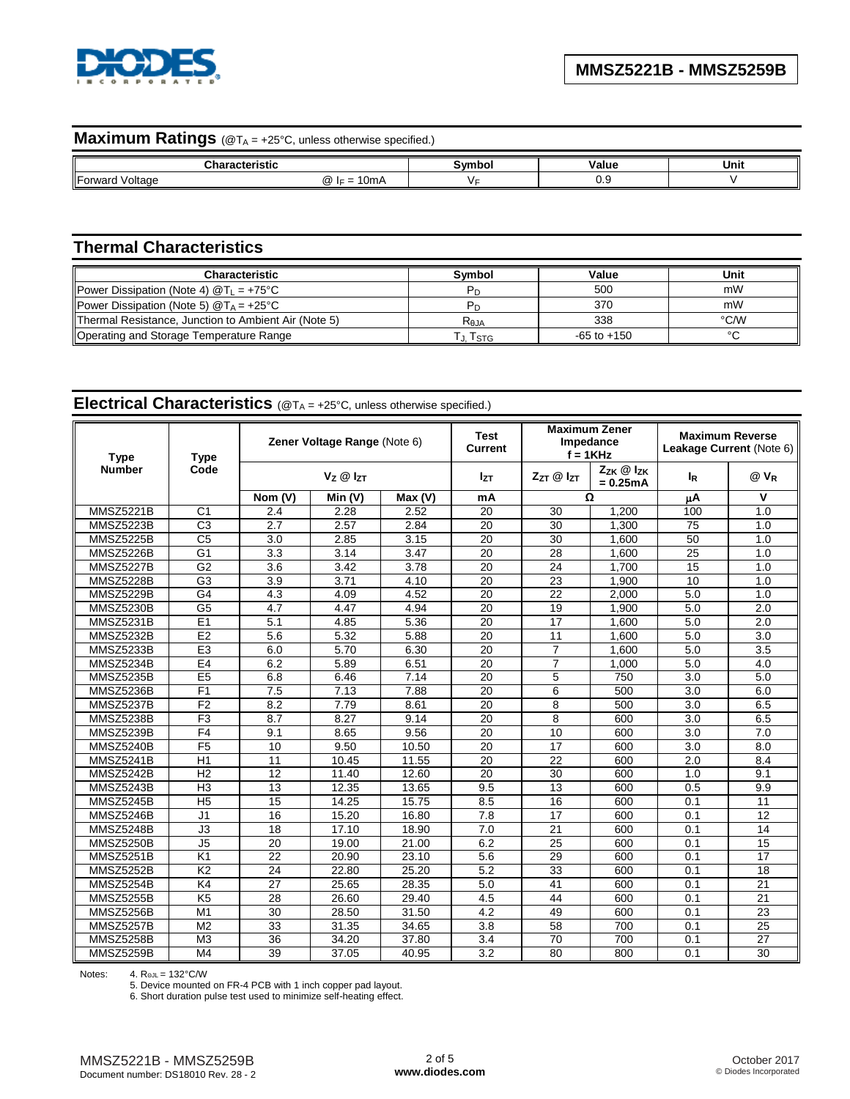

# **Maximum Ratings** (@T<sub>A</sub> = +25°C, unless otherwise specified.)

|                            | .<br>                          | . | יומו<br>alut ' | Unit |
|----------------------------|--------------------------------|---|----------------|------|
| Forward<br>′oltaα∈<br>waru | $\sim$<br>- ۱۳۰۰<br>ω<br>VIIIM |   | ◡.             |      |

# **Thermal Characteristics**

| <b>Characteristic</b>                                | Svmbol           | Value           | Unit   |
|------------------------------------------------------|------------------|-----------------|--------|
| Power Dissipation (Note 4) $@T_{L} = +75^{\circ}C$   |                  | 500             | mW     |
| Power Dissipation (Note 5) $@T_A = +25°C$            |                  | 370             | mW     |
| Thermal Resistance, Junction to Ambient Air (Note 5) | R <sub>eja</sub> | 338             | °C/W   |
| Operating and Storage Temperature Range              | Т Tsтg           | $-65$ to $+150$ | $\sim$ |

# **Electrical Characteristics** (@T<sup>A</sup> = +25°C, unless otherwise specified.)

| <b>Type</b>      | <b>Type</b>     | Zener Voltage Range (Note 6) |                      |        | Test<br>Current | <b>Maximum Zener</b><br>Impedance<br>$f = 1$ KHz |                                    | <b>Maximum Reverse</b><br>Leakage Current (Note 6) |        |
|------------------|-----------------|------------------------------|----------------------|--------|-----------------|--------------------------------------------------|------------------------------------|----------------------------------------------------|--------|
| <b>Number</b>    | Code            |                              | $V_Z \otimes I_{ZT}$ |        | <b>Izt</b>      | $Z_{ZT}$ @ $I_{ZT}$                              | $Z_{ZK}$ $@$ $Z_{K}$<br>$= 0.25mA$ | l <sub>R</sub>                                     | $@V_R$ |
|                  |                 | Nom (V)                      | Min (V)              | Max(V) | mA              | Ω                                                |                                    | μA                                                 | v      |
| <b>MMSZ5221B</b> | C <sub>1</sub>  | 2.4                          | 2.28                 | 2.52   | 20              | 30                                               | 1.200                              | 100                                                | 1.0    |
| MMSZ5223B        | $\overline{C3}$ | 2.7                          | 2.57                 | 2.84   | 20              | 30                                               | 1,300                              | 75                                                 | 1.0    |
| <b>MMSZ5225B</b> | C <sub>5</sub>  | 3.0                          | 2.85                 | 3.15   | 20              | 30                                               | 1.600                              | 50                                                 | 1.0    |
| MMSZ5226B        | G <sub>1</sub>  | 3.3                          | 3.14                 | 3.47   | 20              | 28                                               | 1.600                              | 25                                                 | 1.0    |
| MMSZ5227B        | G <sub>2</sub>  | 3.6                          | 3.42                 | 3.78   | 20              | 24                                               | 1.700                              | 15                                                 | 1.0    |
| <b>MMSZ5228B</b> | G <sub>3</sub>  | 3.9                          | 3.71                 | 4.10   | 20              | 23                                               | 1,900                              | 10                                                 | 1.0    |
| <b>MMSZ5229B</b> | G <sub>4</sub>  | 4.3                          | 4.09                 | 4.52   | 20              | 22                                               | 2.000                              | 5.0                                                | 1.0    |
| <b>MMSZ5230B</b> | G <sub>5</sub>  | 4.7                          | 4.47                 | 4.94   | 20              | 19                                               | 1,900                              | 5.0                                                | 2.0    |
| MMSZ5231B        | E1              | 5.1                          | 4.85                 | 5.36   | 20              | $\overline{17}$                                  | 1,600                              | 5.0                                                | 2.0    |
| MMSZ5232B        | E2              | 5.6                          | 5.32                 | 5.88   | 20              | 11                                               | 1.600                              | 5.0                                                | 3.0    |
| MMSZ5233B        | E <sub>3</sub>  | 6.0                          | 5.70                 | 6.30   | 20              | $\overline{7}$                                   | 1.600                              | 5.0                                                | 3.5    |
| MMSZ5234B        | E <sub>4</sub>  | 6.2                          | 5.89                 | 6.51   | 20              | $\overline{7}$                                   | 1.000                              | 5.0                                                | 4.0    |
| <b>MMSZ5235B</b> | E <sub>5</sub>  | 6.8                          | 6.46                 | 7.14   | 20              | 5                                                | 750                                | 3.0                                                | 5.0    |
| MMSZ5236B        | F <sub>1</sub>  | 7.5                          | 7.13                 | 7.88   | 20              | 6                                                | 500                                | 3.0                                                | 6.0    |
| MMSZ5237B        | F <sub>2</sub>  | 8.2                          | 7.79                 | 8.61   | 20              | 8                                                | 500                                | 3.0                                                | 6.5    |
| MMSZ5238B        | F3              | 8.7                          | 8.27                 | 9.14   | 20              | 8                                                | 600                                | $\overline{3.0}$                                   | 6.5    |
| MMSZ5239B        | F <sub>4</sub>  | 9.1                          | 8.65                 | 9.56   | 20              | 10                                               | 600                                | 3.0                                                | 7.0    |
| MMSZ5240B        | F <sub>5</sub>  | 10                           | 9.50                 | 10.50  | 20              | 17                                               | 600                                | 3.0                                                | 8.0    |
| MMSZ5241B        | H1              | 11                           | 10.45                | 11.55  | 20              | 22                                               | 600                                | 2.0                                                | 8.4    |
| MMSZ5242B        | H <sub>2</sub>  | 12                           | 11.40                | 12.60  | 20              | 30                                               | 600                                | 1.0                                                | 9.1    |
| MMSZ5243B        | H <sub>3</sub>  | 13                           | $\overline{12.35}$   | 13.65  | 9.5             | 13                                               | 600                                | 0.5                                                | 9.9    |
| MMSZ5245B        | H <sub>5</sub>  | 15                           | 14.25                | 15.75  | 8.5             | 16                                               | 600                                | 0.1                                                | 11     |
| <b>MMSZ5246B</b> | J1              | 16                           | 15.20                | 16.80  | 7.8             | 17                                               | 600                                | 0.1                                                | 12     |
| MMSZ5248B        | J3              | 18                           | 17.10                | 18.90  | 7.0             | 21                                               | 600                                | 0.1                                                | 14     |
| MMSZ5250B        | J <sub>5</sub>  | 20                           | 19.00                | 21.00  | 6.2             | 25                                               | 600                                | 0.1                                                | 15     |
| <b>MMSZ5251B</b> | K <sub>1</sub>  | $\overline{22}$              | 20.90                | 23.10  | 5.6             | 29                                               | 600                                | 0.1                                                | 17     |
| MMSZ5252B        | K <sub>2</sub>  | 24                           | 22.80                | 25.20  | 5.2             | 33                                               | 600                                | 0.1                                                | 18     |
| MMSZ5254B        | K4              | 27                           | 25.65                | 28.35  | 5.0             | 41                                               | 600                                | 0.1                                                | 21     |
| MMSZ5255B        | K <sub>5</sub>  | 28                           | 26.60                | 29.40  | 4.5             | 44                                               | 600                                | 0.1                                                | 21     |
| MMSZ5256B        | M1              | 30                           | 28.50                | 31.50  | 4.2             | 49                                               | 600                                | 0.1                                                | 23     |
| MMSZ5257B        | M <sub>2</sub>  | 33                           | 31.35                | 34.65  | 3.8             | 58                                               | 700                                | 0.1                                                | 25     |
| <b>MMSZ5258B</b> | M <sub>3</sub>  | 36                           | 34.20                | 37.80  | 3.4             | 70                                               | 700                                | 0.1                                                | 27     |
| MMSZ5259B        | M <sub>4</sub>  | 39                           | 37.05                | 40.95  | 3.2             | 80                                               | 800                                | 0.1                                                | 30     |

Notes: 4. RΘJL = 132°C/W

5. Device mounted on FR-4 PCB with 1 inch copper pad layout.

6. Short duration pulse test used to minimize self-heating effect.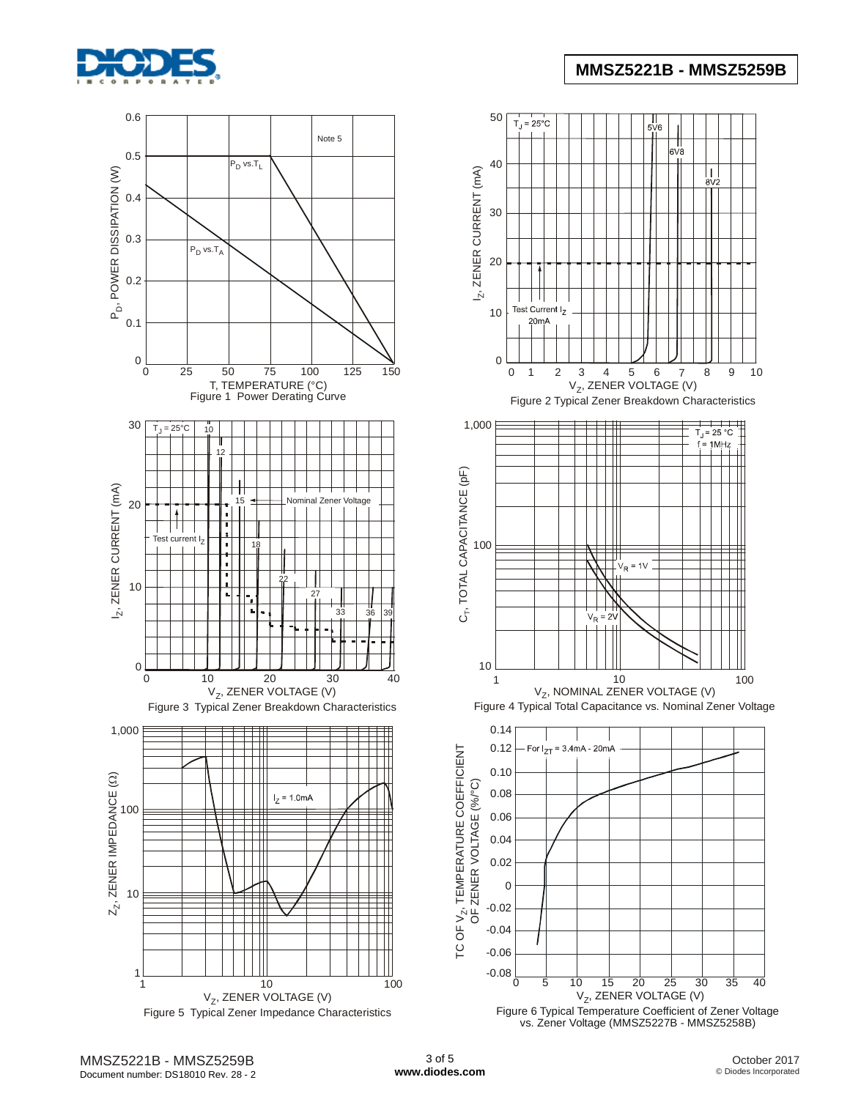

## **MMSZ5221B - MMSZ5259B**







vs. Zener Voltage (MMSZ5227B - MMSZ5258B)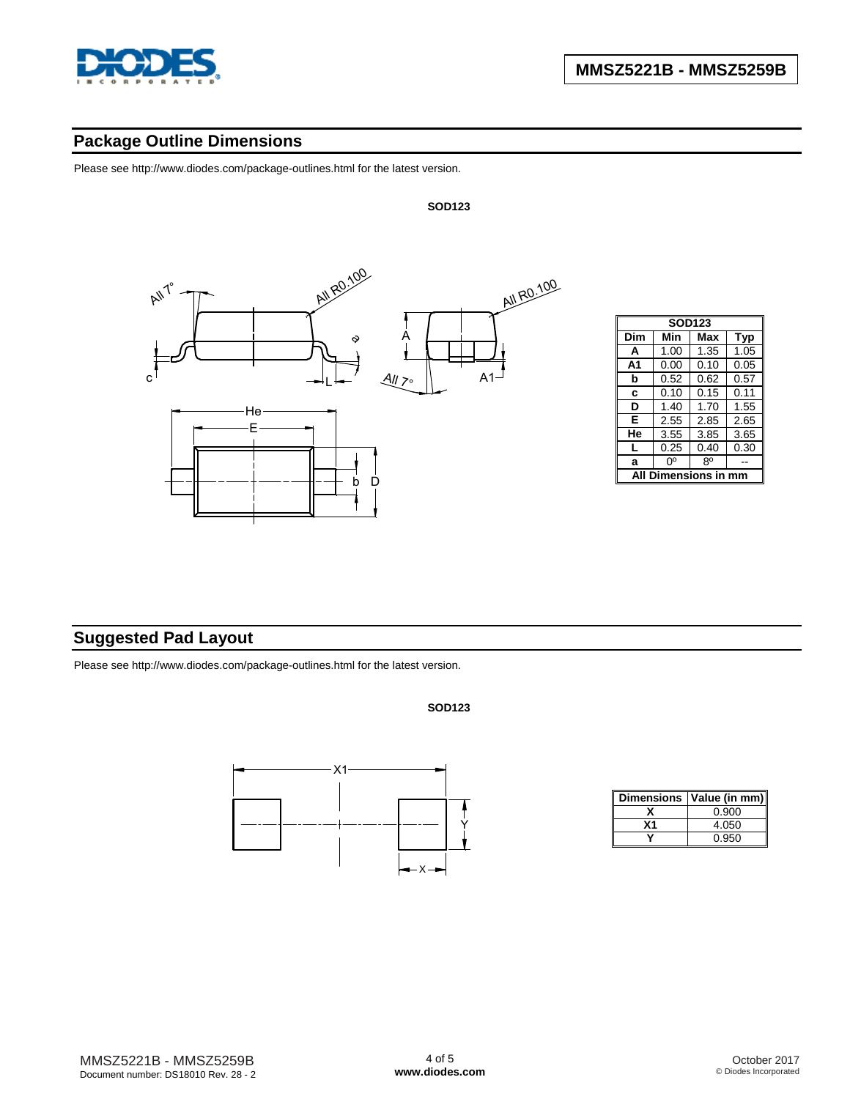

# **Package Outline Dimensions**

Please see [http://www.diodes.com/package-outlines.html fo](http://www.diodes.com/package-outlines.html)r the latest version.



| <b>SOD123</b> |            |      |      |  |  |  |  |
|---------------|------------|------|------|--|--|--|--|
| Dim           | Min        | Max  | Typ  |  |  |  |  |
| A             | 1.00       | 1.35 | 1.05 |  |  |  |  |
| A1            | 0.00       | 0.10 | 0.05 |  |  |  |  |
| b             | 0.52       | 0.62 | 0.57 |  |  |  |  |
| C             | 0.10       | 0.15 | 0.11 |  |  |  |  |
| D             | 1.40       | 1.70 | 1.55 |  |  |  |  |
| Е             | 2.55       | 2.85 | 2.65 |  |  |  |  |
| He            | 3.55       | 3.85 | 3.65 |  |  |  |  |
| L             | 0.25       | 0.40 | 0.30 |  |  |  |  |
| a             | ŋ٥         | 80   |      |  |  |  |  |
|               | mensions i |      |      |  |  |  |  |

# **Suggested Pad Layout**

Please see [http://www.diodes.com/package-outlines.html fo](http://www.diodes.com/package-outlines.html)r the latest version.

**SOD123**

**SOD123**



|    | Dimensions   Value (in mm) |
|----|----------------------------|
|    | 0.900                      |
| х1 | 4.050                      |
|    | 0.950                      |

MMSZ5221B - MMSZ5259B Document number: DS18010 Rev. 28 - 2